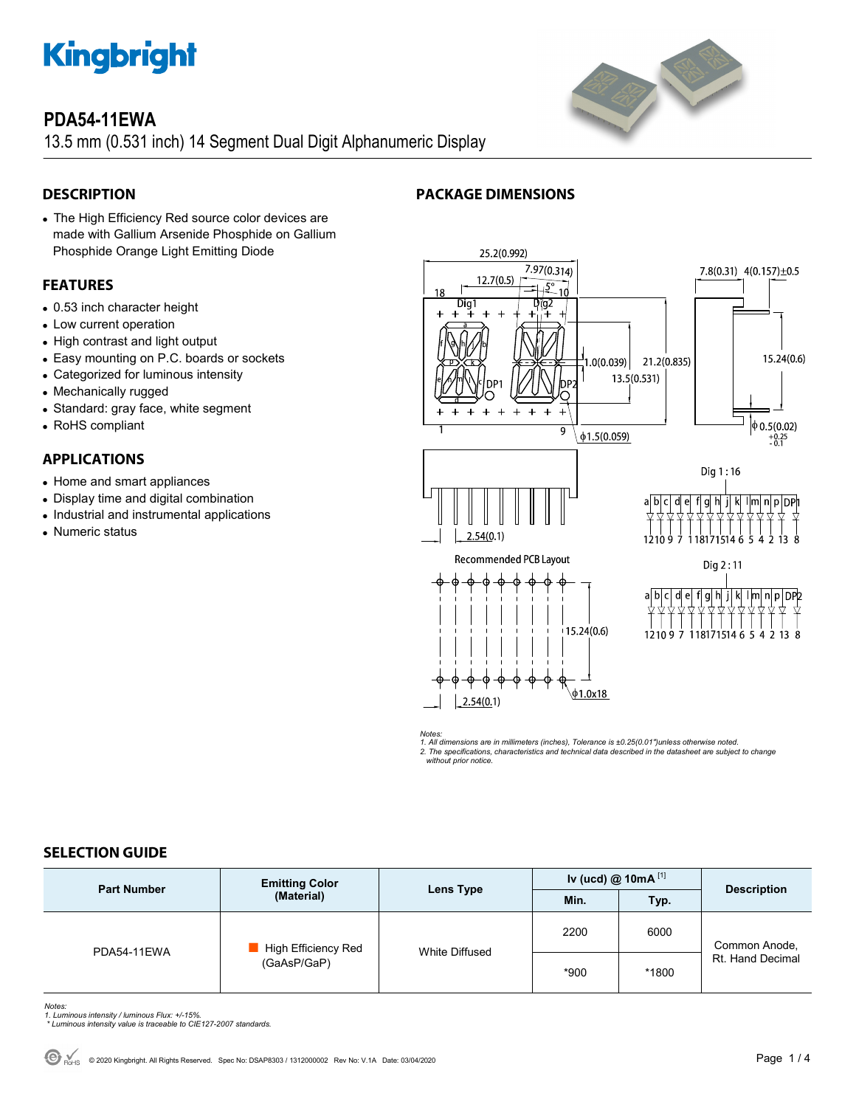

# **PDA54-11EWA**

13.5 mm (0.531 inch) 14 Segment Dual Digit Alphanumeric Display

# **DESCRIPTION**

 The High Efficiency Red source color devices are made with Gallium Arsenide Phosphide on Gallium Phosphide Orange Light Emitting Diode

# **FEATURES**

- 0.53 inch character height
- Low current operation
- High contrast and light output
- Easy mounting on P.C. boards or sockets
- Categorized for luminous intensity
- Mechanically rugged
- Standard: gray face, white segment
- RoHS compliant

## **APPLICATIONS**

- Home and smart appliances
- Display time and digital combination
- Industrial and instrumental applications
- Numeric status

# **PACKAGE DIMENSIONS**



*Notes: 1. All dimensions are in millimeters (inches), Tolerance is ±0.25(0.01")unless otherwise noted. 2. The specifications, characteristics and technical data described in the datasheet are subject to change without prior notice.* 

## **SELECTION GUIDE**

| <b>Part Number</b> | <b>Emitting Color</b><br>(Material) | Lens Type      | Iv (ucd) @ 10mA $^{[1]}$ |       |                                   |
|--------------------|-------------------------------------|----------------|--------------------------|-------|-----------------------------------|
|                    |                                     |                | Min.                     | Typ.  | <b>Description</b>                |
| PDA54-11EWA        | High Efficiency Red<br>(GaAsP/GaP)  | White Diffused | 2200                     | 6000  | Common Anode,<br>Rt. Hand Decimal |
|                    |                                     |                | *900                     | *1800 |                                   |

- *Notes: 1. Luminous intensity / luminous Flux: +/-15%.*
- *\* Luminous intensity value is traceable to CIE127-2007 standards.*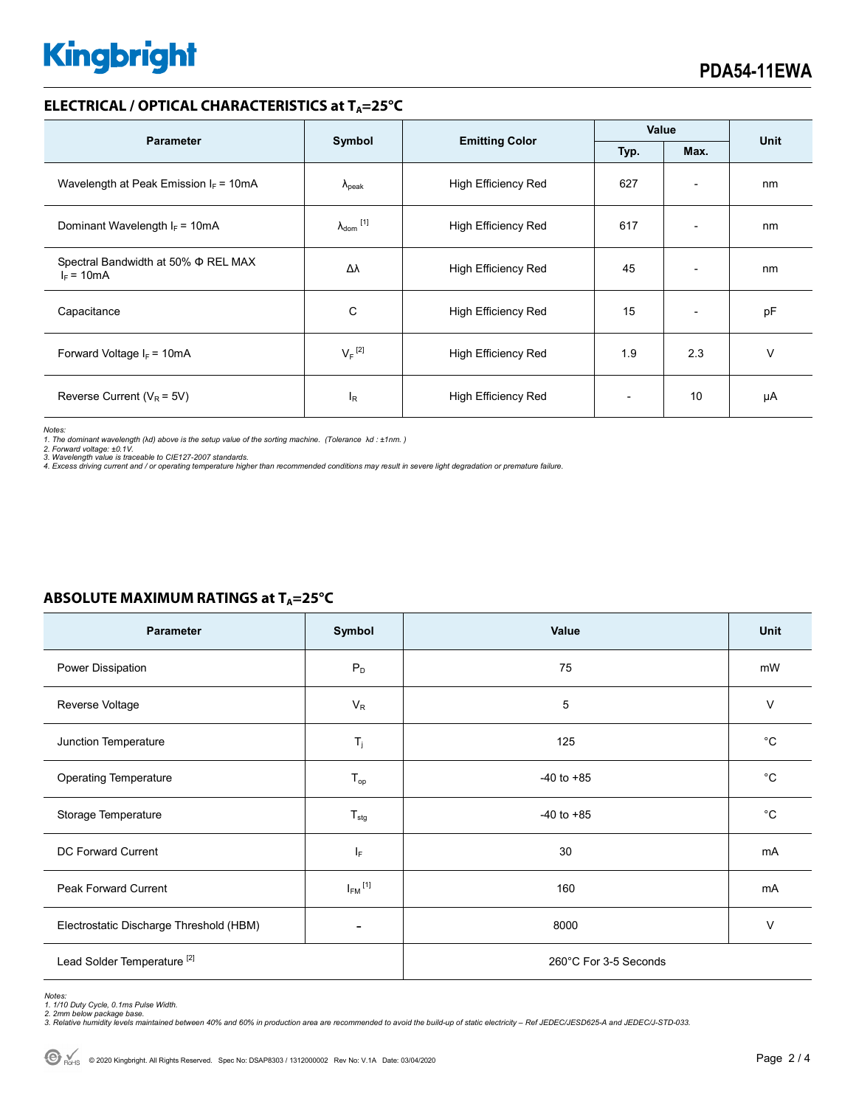# **Kingbright**

### **ELECTRICAL / OPTICAL CHARACTERISTICS at T<sub>A</sub>=25°C**

| <b>Parameter</b>                                    | Symbol                       | <b>Emitting Color</b>      | Value |                          | <b>Unit</b> |
|-----------------------------------------------------|------------------------------|----------------------------|-------|--------------------------|-------------|
|                                                     |                              |                            | Typ.  | Max.                     |             |
| Wavelength at Peak Emission $I_F = 10mA$            | $\Lambda_{\rm peak}$         | <b>High Efficiency Red</b> | 627   | $\overline{\phantom{a}}$ | nm          |
| Dominant Wavelength $I_F = 10mA$                    | $\lambda_{\mathsf{dom}}$ [1] | <b>High Efficiency Red</b> | 617   | $\overline{\phantom{0}}$ | nm          |
| Spectral Bandwidth at 50% Φ REL MAX<br>$I_F = 10mA$ | Δλ                           | <b>High Efficiency Red</b> | 45    | $\overline{\phantom{0}}$ | nm          |
| Capacitance                                         | C                            | <b>High Efficiency Red</b> | 15    | $\overline{\phantom{a}}$ | pF          |
| Forward Voltage $I_F$ = 10mA                        | $V_F$ <sup>[2]</sup>         | <b>High Efficiency Red</b> | 1.9   | 2.3                      | v           |
| Reverse Current ( $V_R$ = 5V)                       | $I_R$                        | <b>High Efficiency Red</b> |       | 10                       | μA          |

*Notes:* 

*1. The dominant wavelength (*λ*d) above is the setup value of the sorting machine. (Tolerance* λ*d : ±1nm. )* 

*2. Forward voltage: ±0.1V. 3. Wavelength value is traceable to CIE127-2007 standards.* 

*4. Excess driving current and / or operating temperature higher than recommended conditions may result in severe light degradation or premature failure.* 

| Parameter                               | Symbol                  | Value                 | Unit         |  |
|-----------------------------------------|-------------------------|-----------------------|--------------|--|
| Power Dissipation                       | $P_D$                   | 75                    | mW           |  |
| Reverse Voltage                         | $V_R$                   | 5                     | $\vee$       |  |
| Junction Temperature                    | $T_j$                   | 125                   | $^{\circ}C$  |  |
| <b>Operating Temperature</b>            | $T_{op}$                | $-40$ to $+85$        | $^{\circ}$ C |  |
| Storage Temperature                     | $T_{\text{stg}}$        | $-40$ to $+85$        | $^{\circ}C$  |  |
| <b>DC Forward Current</b>               | $I_{\mathsf{F}}$        | 30                    | mA           |  |
| Peak Forward Current                    | $I_{FM}$ <sup>[1]</sup> | 160                   | mA           |  |
| Electrostatic Discharge Threshold (HBM) |                         | 8000                  | V            |  |
| Lead Solder Temperature <sup>[2]</sup>  |                         | 260°C For 3-5 Seconds |              |  |

# **ABSOLUTE MAXIMUM RATINGS at T<sub>A</sub>=25°C**

*Notes: 1. 1/10 Duty Cycle, 0.1ms Pulse Width.* 

*2. 2mm below package base. 3. Relative humidity levels maintained between 40% and 60% in production area are recommended to avoid the build-up of static electricity – Ref JEDEC/JESD625-A and JEDEC/J-STD-033.*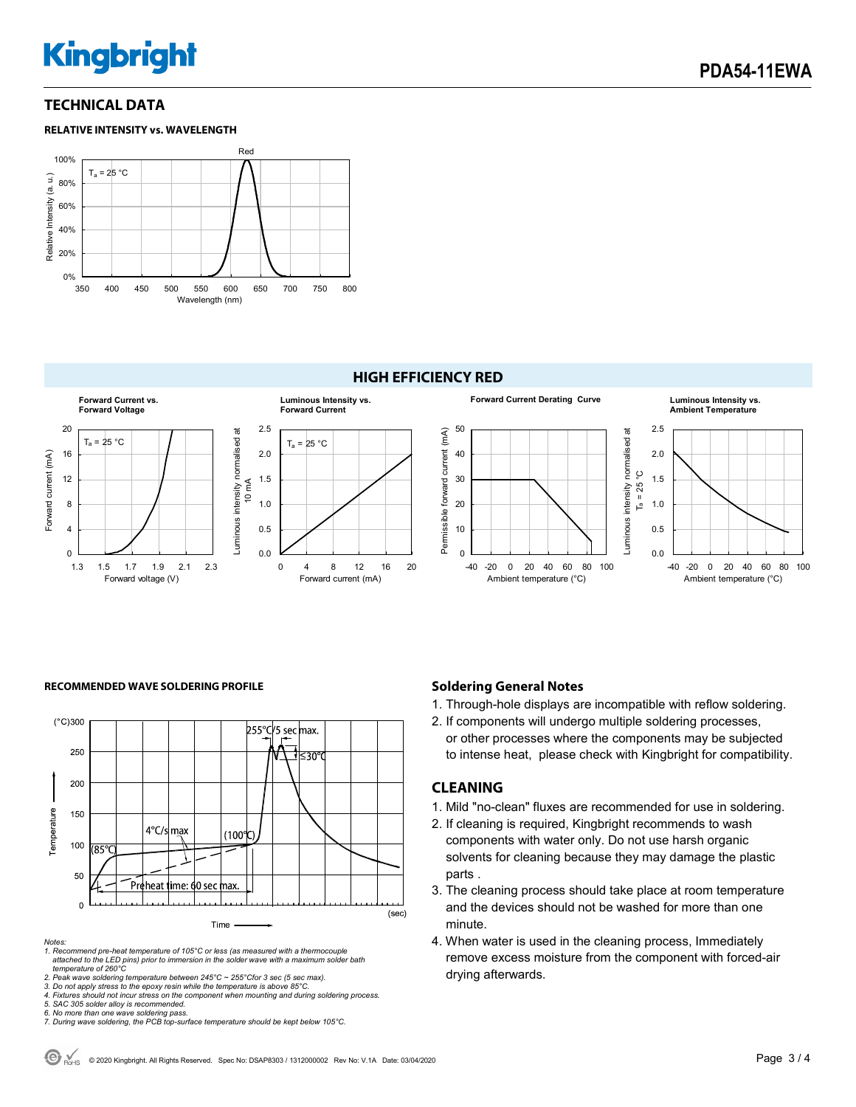# **Kingbright**

## **TECHNICAL DATA**

#### **RELATIVE INTENSITY vs. WAVELENGTH**



#### **HIGH EFFICIENCY RED**



#### **RECOMMENDED WAVE SOLDERING PROFILE <b>A CONDUCT A CONDUCT SOLDERING PROFILE Soldering General Notes**



#### *Notes:*

*1. Recommend pre-heat temperature of 105°C or less (as measured with a thermocouple attached to the LED pins) prior to immersion in the solder wave with a maximum solder bath temperature of 260°C* 

2. Peak wave soldering temperature between 245°C ~ 255°Cfor 3 sec (5 sec max).<br>3. Do not apply stress to the epoxy resin while the temperature is above 85°C.<br>4. Fixtures should not incur stress on the component when mounti

- 1. Through-hole displays are incompatible with reflow soldering.
- 2. If components will undergo multiple soldering processes, or other processes where the components may be subjected

# to intense heat, please check with Kingbright for compatibility.

#### **CLEANING**

- 1. Mild "no-clean" fluxes are recommended for use in soldering.
- 2. If cleaning is required, Kingbright recommends to wash components with water only. Do not use harsh organic solvents for cleaning because they may damage the plastic parts .
- 3. The cleaning process should take place at room temperature and the devices should not be washed for more than one minute.
- 4. When water is used in the cleaning process, Immediately remove excess moisture from the component with forced-air drying afterwards.

*<sup>5.</sup> SAC 305 solder alloy is recommended.* 

*<sup>6.</sup> No more than one wave soldering pass. 7. During wave soldering, the PCB top-surface temperature should be kept below 105°C.*